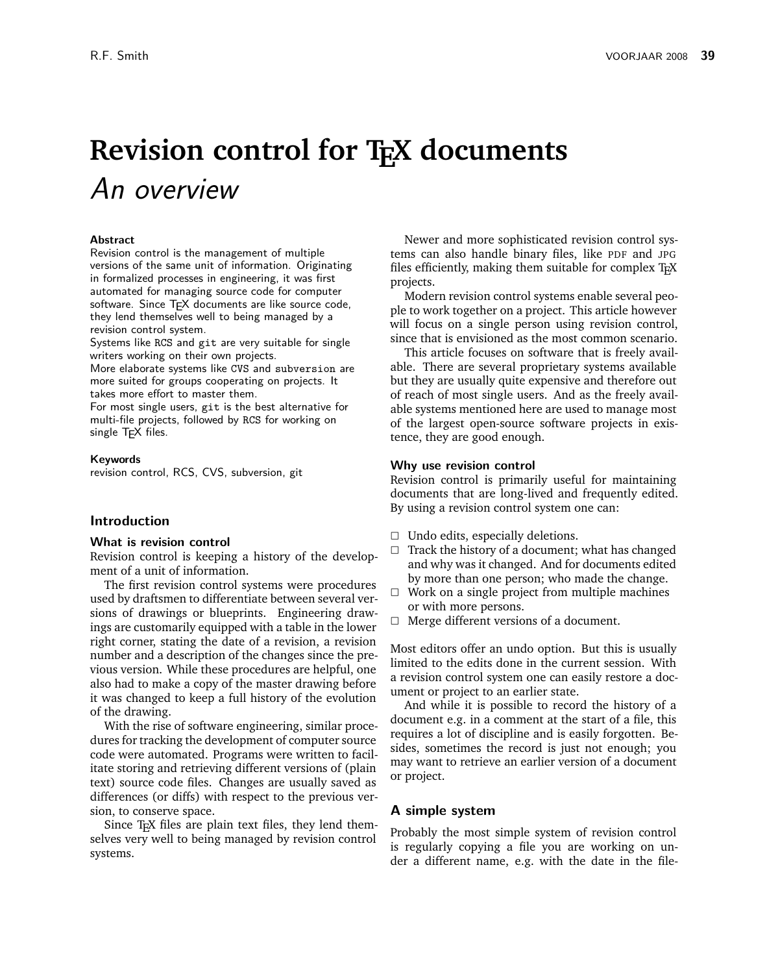# **Revision control for TEX documents** An overview

## **Abstract**

Revision control is the management of multiple versions of the same unit of information. Originating in formalized processes in engineering, it was first automated for managing source code for computer software. Since T<sub>F</sub>X documents are like source code, they lend themselves well to being managed by a revision control system.

Systems like RCS and git are very suitable for single writers working on their own projects.

More elaborate systems like CVS and subversion are more suited for groups cooperating on projects. It takes more effort to master them.

For most single users, git is the best alternative for multi-file projects, followed by RCS for working on single T<sub>E</sub>X files.

#### **Keywords**

revision control, RCS, CVS, subversion, git

## **Introduction**

#### **What is revision control**

Revision control is keeping a history of the development of a unit of information.

The first revision control systems were procedures used by draftsmen to differentiate between several versions of drawings or blueprints. Engineering drawings are customarily equipped with a table in the lower right corner, stating the date of a revision, a revision number and a description of the changes since the previous version. While these procedures are helpful, one also had to make a copy of the master drawing before it was changed to keep a full history of the evolution of the drawing.

With the rise of software engineering, similar procedures for tracking the development of computer source code were automated. Programs were written to facilitate storing and retrieving different versions of (plain text) source code files. Changes are usually saved as differences (or diffs) with respect to the previous version, to conserve space.

Since TEX files are plain text files, they lend themselves very well to being managed by revision control systems.

Newer and more sophisticated revision control systems can also handle binary files, like PDF and JPG files efficiently, making them suitable for complex T<sub>E</sub>X projects.

Modern revision control systems enable several people to work together on a project. This article however will focus on a single person using revision control, since that is envisioned as the most common scenario.

This article focuses on software that is freely available. There are several proprietary systems available but they are usually quite expensive and therefore out of reach of most single users. And as the freely available systems mentioned here are used to manage most of the largest open-source software projects in existence, they are good enough.

#### **Why use revision control**

Revision control is primarily useful for maintaining documents that are long-lived and frequently edited. By using a revision control system one can:

- $\Box$  Undo edits, especially deletions.
- $\Box$  Track the history of a document; what has changed and why was it changed. And for documents edited by more than one person; who made the change.
- $\Box$  Work on a single project from multiple machines or with more persons.
- $\Box$  Merge different versions of a document.

Most editors offer an undo option. But this is usually limited to the edits done in the current session. With a revision control system one can easily restore a document or project to an earlier state.

And while it is possible to record the history of a document e.g. in a comment at the start of a file, this requires a lot of discipline and is easily forgotten. Besides, sometimes the record is just not enough; you may want to retrieve an earlier version of a document or project.

## **A simple system**

Probably the most simple system of revision control is regularly copying a file you are working on under a different name, e.g. with the date in the file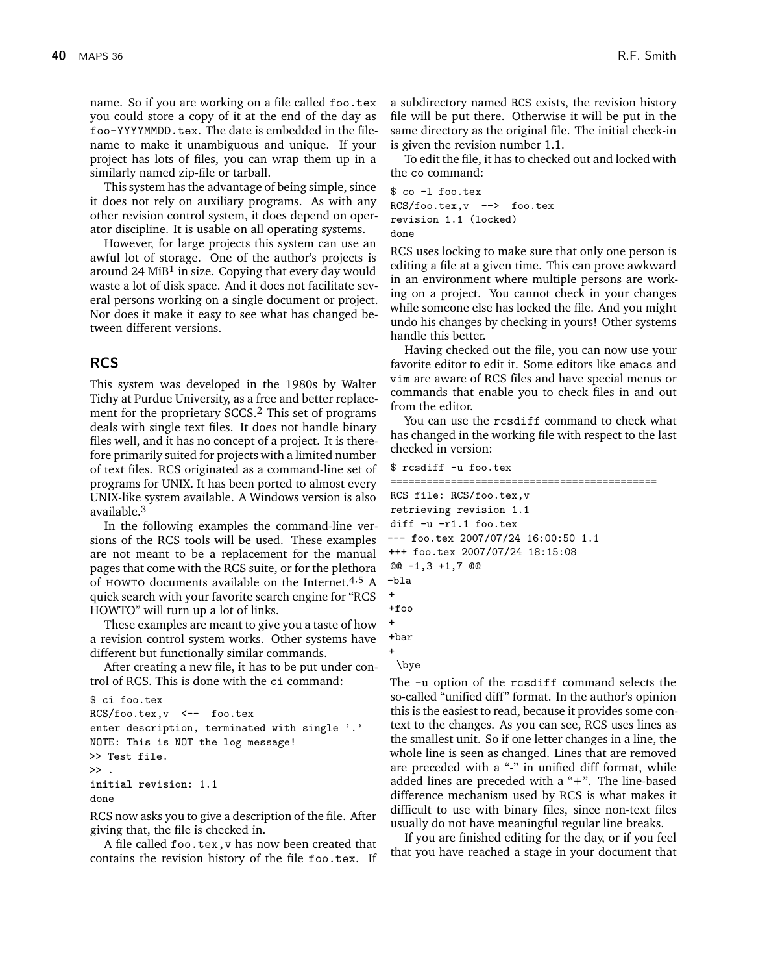name. So if you are working on a file called foo.tex you could store a copy of it at the end of the day as foo-YYYYMMDD.tex. The date is embedded in the filename to make it unambiguous and unique. If your project has lots of files, you can wrap them up in a similarly named zip-file or tarball.

This system has the advantage of being simple, since it does not rely on auxiliary programs. As with any other revision control system, it does depend on operator discipline. It is usable on all operating systems.

However, for large projects this system can use an awful lot of storage. One of the author's projects is around 24 MiB<sup>1</sup> in size. Copying that every day would waste a lot of disk space. And it does not facilitate several persons working on a single document or project. Nor does it make it easy to see what has changed between different versions.

## **RCS**

This system was developed in the 1980s by Walter Tichy at Purdue University, as a free and better replacement for the proprietary SCCS.2 This set of programs deals with single text files. It does not handle binary files well, and it has no concept of a project. It is therefore primarily suited for projects with a limited number of text files. RCS originated as a command-line set of programs for UNIX. It has been ported to almost every UNIX-like system available. A Windows version is also available.3

In the following examples the command-line versions of the RCS tools will be used. These examples are not meant to be a replacement for the manual pages that come with the RCS suite, or for the plethora of HOWTO documents available on the Internet.<sup>4,5</sup> A quick search with your favorite search engine for "RCS HOWTO" will turn up a lot of links.

These examples are meant to give you a taste of how a revision control system works. Other systems have different but functionally similar commands.

After creating a new file, it has to be put under control of RCS. This is done with the ci command:

```
$ ci foo.tex
RCS/foo.tex,v <-- foo.tex
enter description, terminated with single '.'
NOTE: This is NOT the log message!
>> Test file.
\rightarrowinitial revision: 1.1
done
```
RCS now asks you to give a description of the file. After giving that, the file is checked in.

A file called foo.tex,v has now been created that contains the revision history of the file foo.tex. If a subdirectory named RCS exists, the revision history file will be put there. Otherwise it will be put in the same directory as the original file. The initial check-in is given the revision number 1.1.

To edit the file, it has to checked out and locked with the co command:

```
$ co -l foo.tex
RCS/foo.tex,v --> foo.tex
revision 1.1 (locked)
done
```
RCS uses locking to make sure that only one person is editing a file at a given time. This can prove awkward in an environment where multiple persons are working on a project. You cannot check in your changes while someone else has locked the file. And you might undo his changes by checking in yours! Other systems handle this better.

Having checked out the file, you can now use your favorite editor to edit it. Some editors like emacs and vim are aware of RCS files and have special menus or commands that enable you to check files in and out from the editor.

You can use the rcsdiff command to check what has changed in the working file with respect to the last checked in version:

```
$ rcsdiff -u foo.tex
```

```
============================================
RCS file: RCS/foo.tex,v
retrieving revision 1.1
diff -u -r1.1 foo.tex
--- foo.tex 2007/07/24 16:00:50 1.1
+++ foo.tex 2007/07/24 18:15:08
@@ -1,3 +1,7 @@
-bla
+
+foo
+
+bar
+
 \bye
```
The -u option of the rcsdiff command selects the so-called "unified diff" format. In the author's opinion this is the easiest to read, because it provides some context to the changes. As you can see, RCS uses lines as the smallest unit. So if one letter changes in a line, the whole line is seen as changed. Lines that are removed are preceded with a "-" in unified diff format, while added lines are preceded with a "+". The line-based difference mechanism used by RCS is what makes it difficult to use with binary files, since non-text files usually do not have meaningful regular line breaks.

If you are finished editing for the day, or if you feel that you have reached a stage in your document that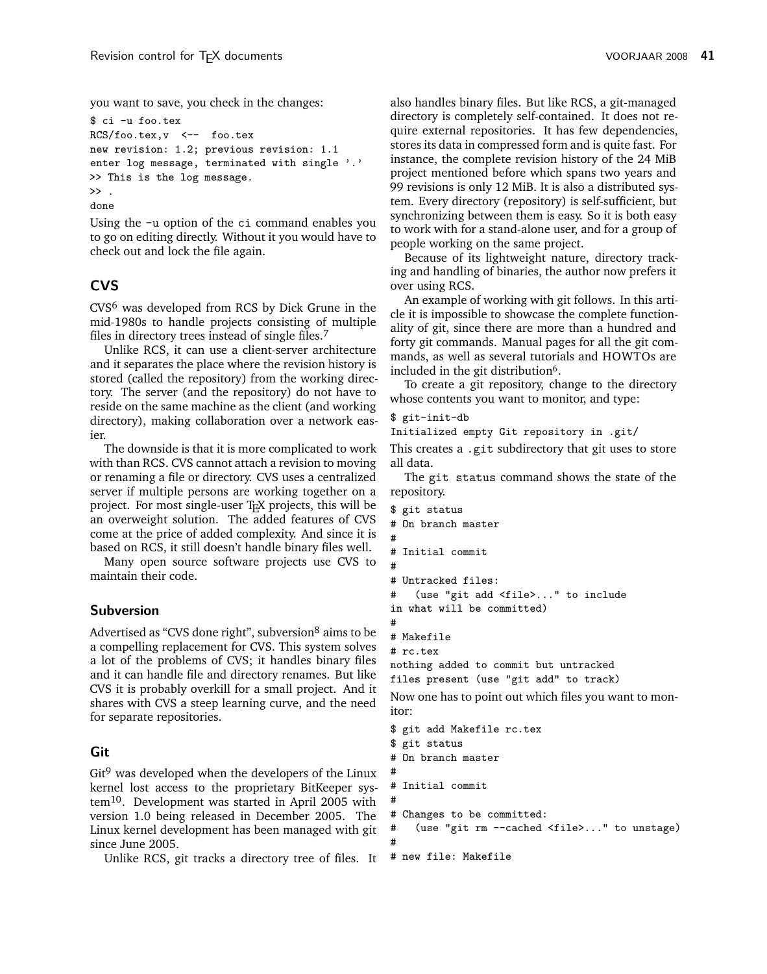you want to save, you check in the changes:

```
$ ci -u foo.tex
RCS/foo.tex,v <-- foo.tex
new revision: 1.2; previous revision: 1.1
enter log message, terminated with single '.'
>> This is the log message.
\rightarrowdone
```
Using the -u option of the ci command enables you to go on editing directly. Without it you would have to check out and lock the file again.

# **CVS**

CVS6 was developed from RCS by Dick Grune in the mid-1980s to handle projects consisting of multiple files in directory trees instead of single files.7

Unlike RCS, it can use a client-server architecture and it separates the place where the revision history is stored (called the repository) from the working directory. The server (and the repository) do not have to reside on the same machine as the client (and working directory), making collaboration over a network easier.

The downside is that it is more complicated to work with than RCS. CVS cannot attach a revision to moving or renaming a file or directory. CVS uses a centralized server if multiple persons are working together on a project. For most single-user T<sub>EX</sub> projects, this will be an overweight solution. The added features of CVS come at the price of added complexity. And since it is based on RCS, it still doesn't handle binary files well.

Many open source software projects use CVS to maintain their code.

# **Subversion**

Advertised as "CVS done right", subversion<sup>8</sup> aims to be a compelling replacement for CVS. This system solves a lot of the problems of CVS; it handles binary files and it can handle file and directory renames. But like CVS it is probably overkill for a small project. And it shares with CVS a steep learning curve, and the need for separate repositories.

# **Git**

 $\mathrm{Git}^9$  was developed when the developers of the Linux kernel lost access to the proprietary BitKeeper system10. Development was started in April 2005 with version 1.0 being released in December 2005. The Linux kernel development has been managed with git since June 2005.

Unlike RCS, git tracks a directory tree of files. It

also handles binary files. But like RCS, a git-managed directory is completely self-contained. It does not require external repositories. It has few dependencies, stores its data in compressed form and is quite fast. For instance, the complete revision history of the 24 MiB project mentioned before which spans two years and 99 revisions is only 12 MiB. It is also a distributed system. Every directory (repository) is self-sufficient, but synchronizing between them is easy. So it is both easy to work with for a stand-alone user, and for a group of people working on the same project.

Because of its lightweight nature, directory tracking and handling of binaries, the author now prefers it over using RCS.

An example of working with git follows. In this article it is impossible to showcase the complete functionality of git, since there are more than a hundred and forty git commands. Manual pages for all the git commands, as well as several tutorials and HOWTOs are included in the git distribution<sup>6</sup>.

To create a git repository, change to the directory whose contents you want to monitor, and type:

## \$ git-init-db

```
Initialized empty Git repository in .git/
```
This creates a .git subdirectory that git uses to store all data.

The git status command shows the state of the repository.

```
$ git status
# On branch master
#
# Initial commit
#
# Untracked files:
# (use "git add <file>..." to include
in what will be committed)
#
# Makefile
# rc.tex
nothing added to commit but untracked
files present (use "git add" to track)
Now one has to point out which files you want to mon-
itor:
$ git add Makefile rc.tex
$ git status
# On branch master
#
# Initial commit
#
# Changes to be committed:
# (use "git rm --cached <file>..." to unstage)
#
```

```
# new file: Makefile
```